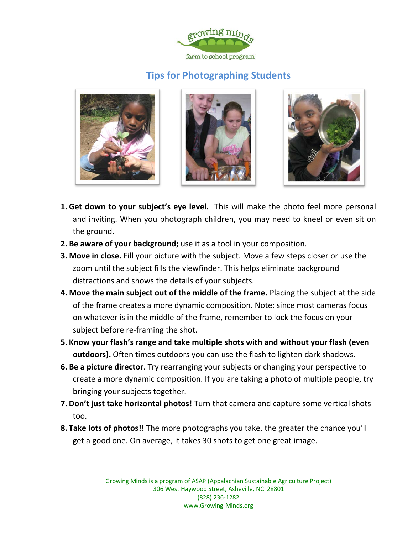

## **Tips for Photographing Students**







- **1. Get down to your subject's eye level.** This will make the photo feel more personal and inviting. When you photograph children, you may need to kneel or even sit on the ground.
- **2. Be aware of your background;** use it as a tool in your composition.
- **3. Move in close.** Fill your picture with the subject. Move a few steps closer or use the zoom until the subject fills the viewfinder. This helps eliminate background distractions and shows the details of your subjects.
- **4. Move the main subject out of the middle of the frame.** Placing the subject at the side of the frame creates a more dynamic composition. Note: since most cameras focus on whatever is in the middle of the frame, remember to lock the focus on your subject before re-framing the shot.
- **5. Know your flash's range and take multiple shots with and without your flash (even outdoors).** Often times outdoors you can use the flash to lighten dark shadows.
- **6. Be a picture director**. Try rearranging your subjects or changing your perspective to create a more dynamic composition. If you are taking a photo of multiple people, try bringing your subjects together.
- **7. Don't just take horizontal photos!** Turn that camera and capture some vertical shots too.
- **8. Take lots of photos!!** The more photographs you take, the greater the chance you'll get a good one. On average, it takes 30 shots to get one great image.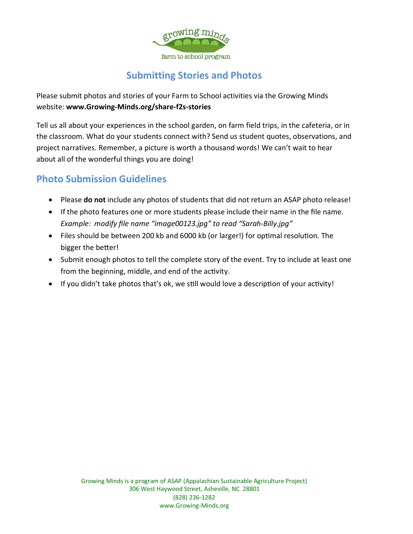

## **Submitting Stories and Photos**

Please submit photos and stories of your Farm to School activities via the Growing Minds website: **www.Growing-Minds.org/share-f2s-stories**

Tell us all about your experiences in the school garden, on farm field trips, in the cafeteria, or in the classroom. What do your students connect with? Send us student quotes, observations, and project narratives. Remember, a picture is worth a thousand words! We can't wait to hear about all of the wonderful things you are doing!

## **Photo Submission Guidelines**

- Please **do not** include any photos of students that did not return an ASAP photo release!
- If the photo features one or more students please include their name in the file name. *Example: modify file name "image00123.jpg" to read "Sarah-Billy.jpg"*
- Files should be between 200 kb and 6000 kb (or larger!) for optimal resolution. The bigger the better
- Submit enough photos to tell the complete story of the event. Try to include at least one from the beginning, middle, and end of the activity.
- If you didn't take photos that's ok, we still would love a description of your activity!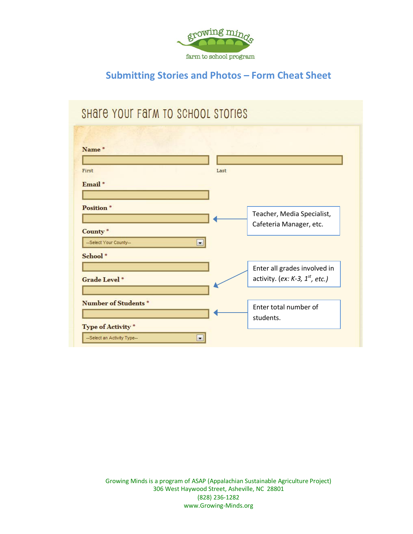

## **Submitting Stories and Photos – Form Cheat Sheet**

# SHATE YOUR FARM TO SCHOOL STORIES

| Name <sup>*</sup>                     |         |                                      |
|---------------------------------------|---------|--------------------------------------|
|                                       |         |                                      |
| First                                 | Last    |                                      |
| Email <sup>*</sup>                    |         |                                      |
|                                       |         |                                      |
| <b>Position</b> *                     |         | Teacher, Media Specialist,           |
|                                       |         | Cafeteria Manager, etc.              |
| County <sup>*</sup>                   |         |                                      |
| --Select Your County--                | $\cdot$ |                                      |
| School *                              |         |                                      |
|                                       |         | Enter all grades involved in         |
| <b>Grade Level *</b>                  |         | activity. (ex: K-3, $1^{st}$ , etc.) |
|                                       |         |                                      |
| <b>Number of Students<sup>*</sup></b> |         | Enter total number of                |
|                                       |         | students.                            |
| Type of Activity <sup>*</sup>         |         |                                      |
| --Select an Activity Type--           |         |                                      |